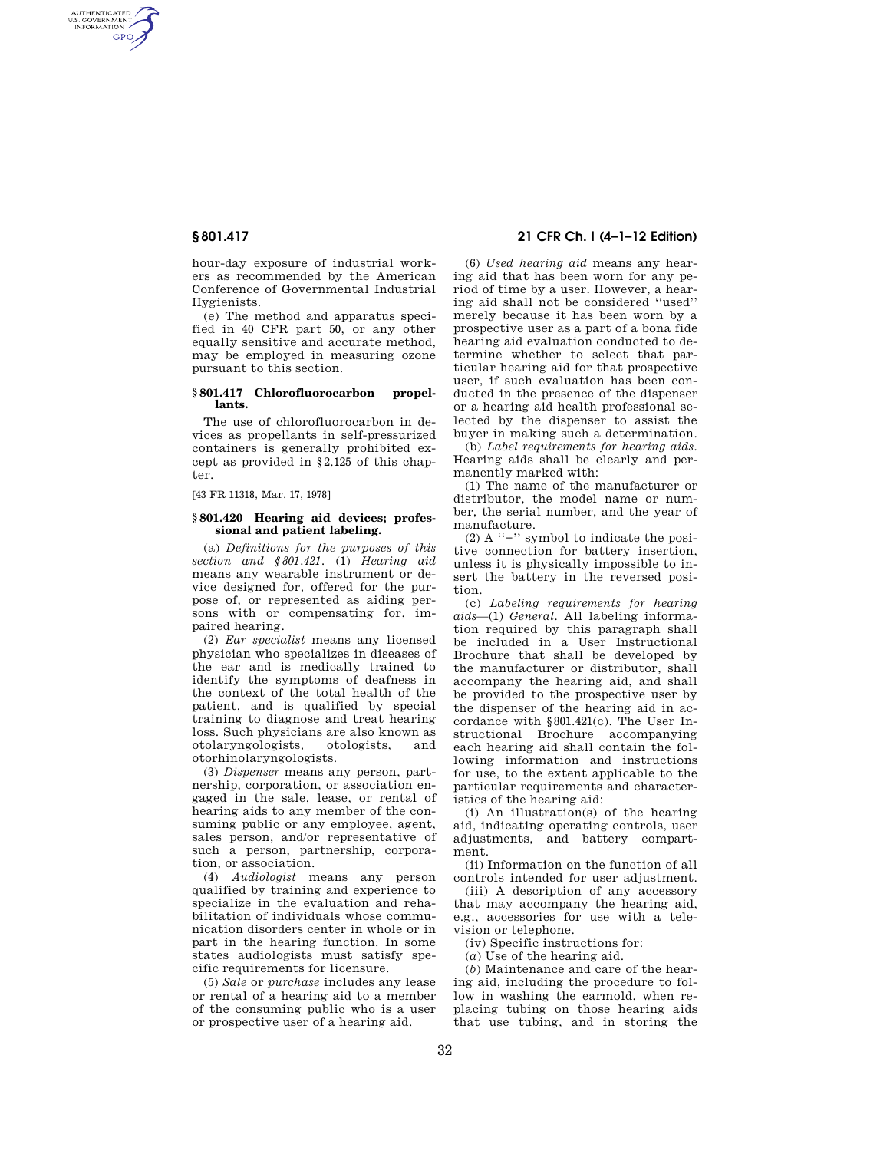AUTHENTICATED<br>U.S. GOVERNMENT<br>INFORMATION **GPO** 

> hour-day exposure of industrial workers as recommended by the American Conference of Governmental Industrial Hygienists.

> (e) The method and apparatus specified in 40 CFR part 50, or any other equally sensitive and accurate method, may be employed in measuring ozone pursuant to this section.

# **§ 801.417 Chlorofluorocarbon propellants.**

The use of chlorofluorocarbon in devices as propellants in self-pressurized containers is generally prohibited except as provided in §2.125 of this chapter.

[43 FR 11318, Mar. 17, 1978]

# **§ 801.420 Hearing aid devices; professional and patient labeling.**

(a) *Definitions for the purposes of this section and §801.421.* (1) *Hearing aid*  means any wearable instrument or device designed for, offered for the purpose of, or represented as aiding persons with or compensating for, impaired hearing.

(2) *Ear specialist* means any licensed physician who specializes in diseases of the ear and is medically trained to identify the symptoms of deafness in the context of the total health of the patient, and is qualified by special training to diagnose and treat hearing loss. Such physicians are also known as<br>otolaryngologists, otologists, and otolaryngologists, otologists, and otorhinolaryngologists.

(3) *Dispenser* means any person, partnership, corporation, or association engaged in the sale, lease, or rental of hearing aids to any member of the consuming public or any employee, agent, sales person, and/or representative of such a person, partnership, corporation, or association.

(4) *Audiologist* means any person qualified by training and experience to specialize in the evaluation and rehabilitation of individuals whose communication disorders center in whole or in part in the hearing function. In some states audiologists must satisfy specific requirements for licensure.

(5) *Sale* or *purchase* includes any lease or rental of a hearing aid to a member of the consuming public who is a user or prospective user of a hearing aid.

# **§ 801.417 21 CFR Ch. I (4–1–12 Edition)**

(6) *Used hearing aid* means any hearing aid that has been worn for any period of time by a user. However, a hearing aid shall not be considered ''used'' merely because it has been worn by a prospective user as a part of a bona fide hearing aid evaluation conducted to determine whether to select that particular hearing aid for that prospective user, if such evaluation has been conducted in the presence of the dispenser or a hearing aid health professional selected by the dispenser to assist the buyer in making such a determination.

(b) *Label requirements for hearing aids.*  Hearing aids shall be clearly and permanently marked with:

(1) The name of the manufacturer or distributor, the model name or number, the serial number, and the year of manufacture.

(2) A ''+'' symbol to indicate the positive connection for battery insertion, unless it is physically impossible to insert the battery in the reversed position.

(c) *Labeling requirements for hearing aids*—(1) *General.* All labeling information required by this paragraph shall be included in a User Instructional Brochure that shall be developed by the manufacturer or distributor, shall accompany the hearing aid, and shall be provided to the prospective user by the dispenser of the hearing aid in accordance with §801.421(c). The User Instructional Brochure accompanying each hearing aid shall contain the following information and instructions for use, to the extent applicable to the particular requirements and characteristics of the hearing aid:

(i) An illustration(s) of the hearing aid, indicating operating controls, user adjustments, and battery compartment.

(ii) Information on the function of all controls intended for user adjustment.

(iii) A description of any accessory that may accompany the hearing aid, e.g., accessories for use with a television or telephone.

(iv) Specific instructions for:

(*a*) Use of the hearing aid.

(*b*) Maintenance and care of the hearing aid, including the procedure to follow in washing the earmold, when replacing tubing on those hearing aids that use tubing, and in storing the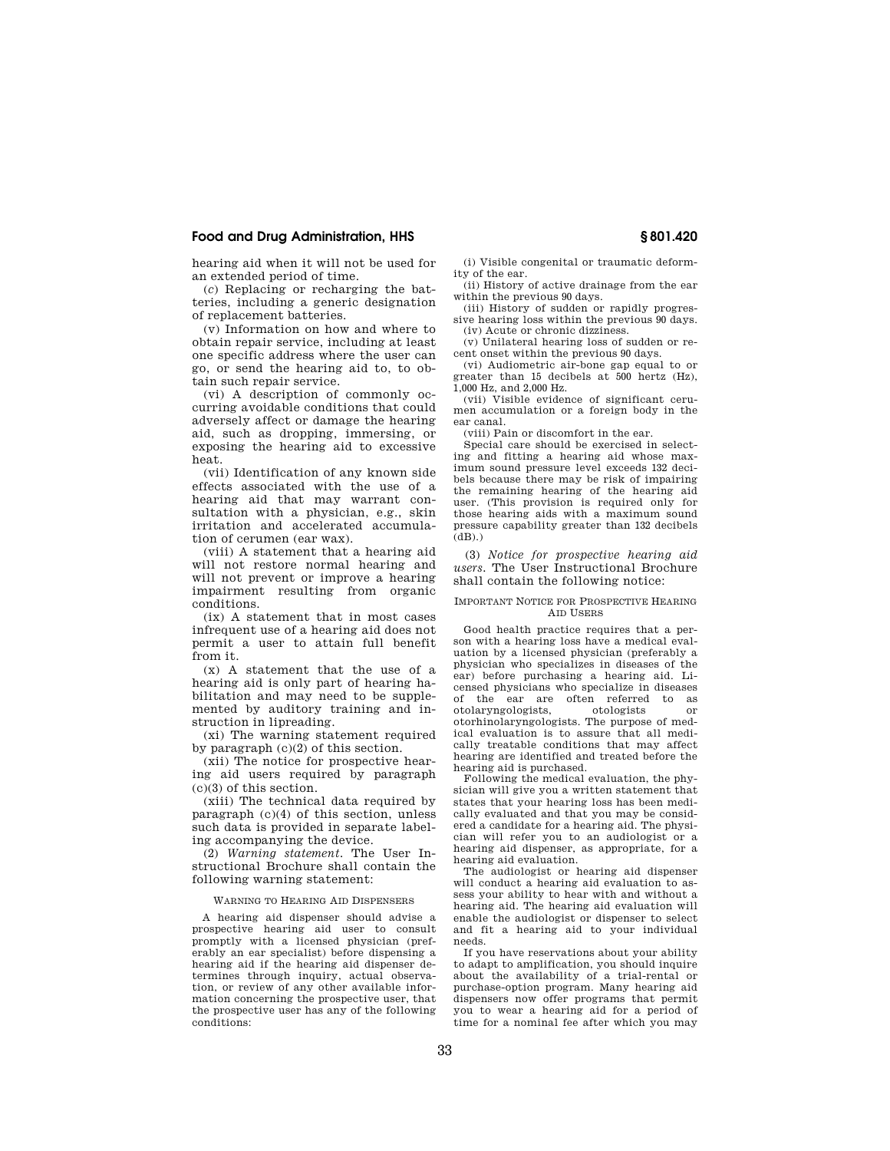# **Food and Drug Administration, HHS § 801.420**

hearing aid when it will not be used for an extended period of time.

(*c*) Replacing or recharging the batteries, including a generic designation of replacement batteries.

(v) Information on how and where to obtain repair service, including at least one specific address where the user can go, or send the hearing aid to, to obtain such repair service.

(vi) A description of commonly occurring avoidable conditions that could adversely affect or damage the hearing aid, such as dropping, immersing, or exposing the hearing aid to excessive heat.

(vii) Identification of any known side effects associated with the use of a hearing aid that may warrant consultation with a physician, e.g., skin irritation and accelerated accumulation of cerumen (ear wax).

(viii) A statement that a hearing aid will not restore normal hearing and will not prevent or improve a hearing impairment resulting from organic conditions.

(ix) A statement that in most cases infrequent use of a hearing aid does not permit a user to attain full benefit from it.

(x) A statement that the use of a hearing aid is only part of hearing habilitation and may need to be supplemented by auditory training and instruction in lipreading.

(xi) The warning statement required by paragraph (c)(2) of this section.

(xii) The notice for prospective hearing aid users required by paragraph (c)(3) of this section.

(xiii) The technical data required by paragraph (c)(4) of this section, unless such data is provided in separate labeling accompanying the device.

(2) *Warning statement.* The User Instructional Brochure shall contain the following warning statement:

#### WARNING TO HEARING AID DISPENSERS

A hearing aid dispenser should advise a prospective hearing aid user to consult promptly with a licensed physician (preferably an ear specialist) before dispensing a hearing aid if the hearing aid dispenser determines through inquiry, actual observation, or review of any other available information concerning the prospective user, that the prospective user has any of the following conditions:

(i) Visible congenital or traumatic deformity of the ear.

(ii) History of active drainage from the ear within the previous 90 days.

(iii) History of sudden or rapidly progressive hearing loss within the previous 90 days. (iv) Acute or chronic dizziness.

(v) Unilateral hearing loss of sudden or recent onset within the previous 90 days.

(vi) Audiometric air-bone gap equal to or greater than 15 decibels at 500 hertz (Hz), 1,000 Hz, and 2,000 Hz.

(vii) Visible evidence of significant cerumen accumulation or a foreign body in the ear canal.

(viii) Pain or discomfort in the ear.

Special care should be exercised in selecting and fitting a hearing aid whose maximum sound pressure level exceeds 132 decibels because there may be risk of impairing the remaining hearing of the hearing aid user. (This provision is required only for those hearing aids with a maximum sound pressure capability greater than 132 decibels  $(dB)$ .)

(3) *Notice for prospective hearing aid users.* The User Instructional Brochure shall contain the following notice:

# IMPORTANT NOTICE FOR PROSPECTIVE HEARING A<sub>ID</sub> HSERS

Good health practice requires that a person with a hearing loss have a medical evaluation by a licensed physician (preferably a physician who specializes in diseases of the ear) before purchasing a hearing aid. Licensed physicians who specialize in diseases of the ear are often referred to as<br>otolaryngologists, otologists or otolaryngologists, otologists or otorhinolaryngologists. The purpose of medical evaluation is to assure that all medically treatable conditions that may affect hearing are identified and treated before the hearing aid is purchased.

Following the medical evaluation, the physician will give you a written statement that states that your hearing loss has been medically evaluated and that you may be considered a candidate for a hearing aid. The physician will refer you to an audiologist or a hearing aid dispenser, as appropriate, for a hearing aid evaluation.

The audiologist or hearing aid dispenser will conduct a hearing aid evaluation to assess your ability to hear with and without a hearing aid. The hearing aid evaluation will enable the audiologist or dispenser to select and fit a hearing aid to your individual needs.

If you have reservations about your ability to adapt to amplification, you should inquire about the availability of a trial-rental or purchase-option program. Many hearing aid dispensers now offer programs that permit you to wear a hearing aid for a period of time for a nominal fee after which you may